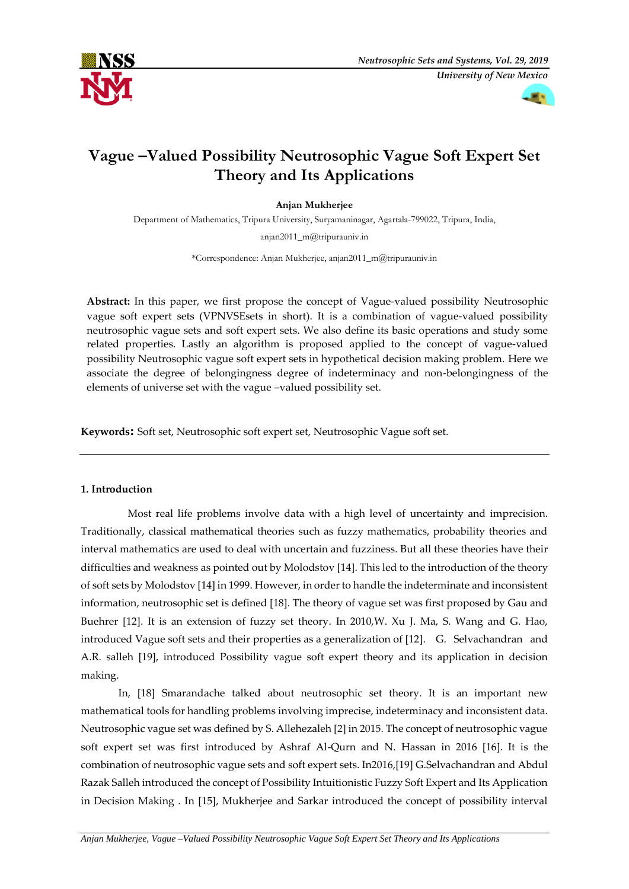



# **Vague –Valued Possibility Neutrosophic Vague Soft Expert Set Theory and Its Applications**

# **Anjan Mukherjee**

Department of Mathematics, Tripura University, Suryamaninagar, Agartala-799022, Tripura, India,

[anjan2011\\_m@tripurauniv.in](mailto:anjan2011_m@tripurauniv.in)

\*Correspondence: Anjan Mukherjee, [anjan2011\\_m@tripurauniv.in](mailto:anjan2011_m@tripurauniv.in)

**Abstract:** In this paper, we first propose the concept of Vague-valued possibility Neutrosophic vague soft expert sets (VPNVSEsets in short). It is a combination of vague-valued possibility neutrosophic vague sets and soft expert sets. We also define its basic operations and study some related properties. Lastly an algorithm is proposed applied to the concept of vague-valued possibility Neutrosophic vague soft expert sets in hypothetical decision making problem. Here we associate the degree of belongingness degree of indeterminacy and non-belongingness of the elements of universe set with the vague –valued possibility set.

**Keywords:** Soft set, Neutrosophic soft expert set, Neutrosophic Vague soft set.

### **1. Introduction**

 Most real life problems involve data with a high level of uncertainty and imprecision. Traditionally, classical mathematical theories such as fuzzy mathematics, probability theories and interval mathematics are used to deal with uncertain and fuzziness. But all these theories have their difficulties and weakness as pointed out by Molodstov [14]. This led to the introduction of the theory of soft sets by Molodstov [14] in 1999. However, in order to handle the indeterminate and inconsistent information, neutrosophic set is defined [18]. The theory of vague set was first proposed by Gau and Buehrer [12]. It is an extension of fuzzy set theory. In 2010,W. Xu J. Ma, S. Wang and G. Hao, introduced Vague soft sets and their properties as a generalization of [12]. G. Selvachandran and A.R. salleh [19], introduced Possibility vague soft expert theory and its application in decision making.

 In, [18] Smarandache talked about neutrosophic set theory. It is an important new mathematical tools for handling problems involving imprecise, indeterminacy and inconsistent data. Neutrosophic vague set was defined by S. Allehezaleh [2] in 2015. The concept of neutrosophic vague soft expert set was first introduced by Ashraf Al-Qurn and N. Hassan in 2016 [16]. It is the combination of neutrosophic vague sets and soft expert sets. In2016,[19] G.Selvachandran and Abdul Razak Salleh introduced the concept of Possibility Intuitionistic Fuzzy Soft Expert and Its Application in Decision Making . In [15], Mukherjee and Sarkar introduced the concept of possibility interval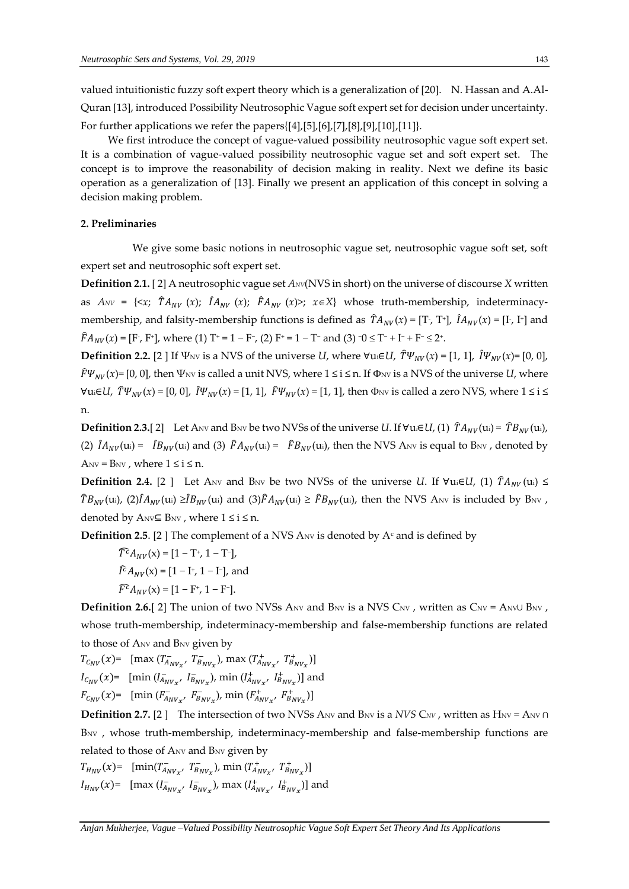valued intuitionistic fuzzy soft expert theory which is a generalization of [20]. N. Hassan and A.Al-Quran [13], introduced Possibility Neutrosophic Vague soft expert set for decision under uncertainty. For further applications we refer the papers{[4],[5],[6],[7],[8],[9],[10],[11]}.

We first introduce the concept of vague-valued possibility neutrosophic vague soft expert set. It is a combination of vague-valued possibility neutrosophic vague set and soft expert set. The concept is to improve the reasonability of decision making in reality. Next we define its basic operation as a generalization of [13]. Finally we present an application of this concept in solving a decision making problem.

## **2. Preliminaries**

 We give some basic notions in neutrosophic vague set, neutrosophic vague soft set, soft expert set and neutrosophic soft expert set.

**Definition 2.1.** [ 2] A neutrosophic vague set *ANV*(NVS in short) on the universe of discourse *X* written as  $A_{NV} = \{ \langle x; \hat{T} A_{NV}(x); \hat{I} A_{NV}(x); \hat{F} A_{NV}(x) \rangle; x \in X \}$  whose truth-membership, indeterminacymembership, and falsity-membership functions is defined as  $\hat{T}A_{NV}(x) = [T, T^+]$ ,  $\hat{I}A_{NV}(x) = [I, I^+]$  and  $\hat{F}A_{NV}(x) = [F, F^+]$ , where (1) T<sup>+</sup> = 1 – F<sup>-</sup>, (2) F<sup>+</sup> = 1 – T<sup>-</sup> and (3) <sup>-</sup>0 ≤ T<sup>-</sup> + I<sup>-</sup> + F<sup>-</sup> ≤ 2<sup>+</sup>.

**Definition 2.2.** [2 ] If  $\Psi_{\text{NV}}$  is a NVS of the universe *U*, where  $\Psi_{\text{U}}(L)$ ,  $\hat{T}\Psi_{\text{NV}}(x) = [1, 1]$ ,  $\hat{I}\Psi_{\text{NV}}(x) = [0, 0]$ ,  $\hat{F}\Psi_{NV}(x)$ = [0, 0], then  $\Psi_{NV}$  is called a unit NVS, where  $1 \le i \le n$ . If  $\Phi_{NV}$  is a NVS of the universe *U*, where  $\forall$ ui∈*U*,  $\hat{T}\Psi_{NV}(x) = [0, 0]$ ,  $\hat{I}\Psi_{NV}(x) = [1, 1]$ ,  $\hat{F}\Psi_{NV}(x) = [1, 1]$ , then  $\Phi_{NV}$  is called a zero NVS, where  $1 \le i \le n$ n.

**Definition 2.3.**[2] Let ANV and BNV be two NVSs of the universe *U*. If  $\forall u_i \in U$ , (1)  $\hat{T}A_{NV}(u_i) = \hat{T}B_{NV}(u_i)$ , (2)  $\hat{I}A_{NV}(u_i) = \hat{I}B_{NV}(u_i)$  and (3)  $\hat{F}A_{NV}(u_i) = \hat{F}B_{NV}(u_i)$ , then the NVS ANV is equal to BNV, denoted by  $A_{NV} = B_{NV}$ , where  $1 \le i \le n$ .

**Definition 2.4.** [2 ] Let A<sub>NV</sub> and B<sub>NV</sub> be two NVSs of the universe *U*. If  $\forall u \in U$ , (1)  $\hat{T}A_{NV}(u) \leq$  $\hat{T}B_{NV}(\text{u}_i)$ , (2) $\hat{I}A_{NV}(\text{u}_i) \geq \hat{I}B_{NV}(\text{u}_i)$  and (3) $\hat{F}A_{NV}(\text{u}_i) \geq \hat{F}B_{NV}(\text{u}_i)$ , then the NVS Anv is included by B<sub>NV</sub>, denoted by  $A_{\text{NV}} \subseteq B_{\text{NV}}$ , where  $1 \le i \le n$ .

**Definition 2.5**. [2] The complement of a NVS A<sub>NV</sub> is denoted by  $A<sup>c</sup>$  and is defined by

$$
\widehat{T}^c A_{NV}(x) = [1 - T^+, 1 - T^-],
$$
  

$$
\widehat{I}^c A_{NV}(x) = [1 - I^+, 1 - I^-],
$$
 and  

$$
\widehat{F}^c A_{NV}(x) = [1 - F^+, 1 - F^-].
$$

**Definition 2.6.**[ 2] The union of two NVSs A<sub>NV</sub> and B<sub>NV</sub> is a NVS C<sub>NV</sub>, written as C<sub>NV</sub> = A<sub>NV</sub>U B<sub>NV</sub>, whose truth-membership, indeterminacy-membership and false-membership functions are related to those of ANV and BNV given by

$$
T_{C_{NV}}(x) = \left[ \max \left( T_{A_{NV_x}}^-, T_{B_{NV_x}}^-, \max \left( T_{A_{NV_x}}^+, T_{B_{NV_x}}^+ \right) \right] - I_{C_{NV}}(x) = \left[ \min \left( I_{A_{NV_x}}^-, I_{B_{NV_x}}^-, \max \left( I_{A_{NV_x}}^+, I_{B_{NV_x}}^+ \right) \right] \right]
$$
  

$$
F_{C_{NV}}(x) = \left[ \min \left( F_{A_{NV_x}}^-, F_{B_{NV_x}}^-, \min \left( F_{A_{NV_x}}^+, F_{B_{NV_x}}^+ \right) \right] \right]
$$

**Definition 2.7.** [2 ] The intersection of two NVSs A<sub>NV</sub> and B<sub>NV</sub> is a *NVS* C<sub>NV</sub>, written as H<sub>NV</sub> = A<sub>NV</sub> ∩ BNV, whose truth-membership, indeterminacy-membership and false-membership functions are related to those of ANV and BNV given by

 $T_{H_{NV}}(x)$ =  $[\min(T_{A_{NV_x}}^-, T_{B_{NV_x}}^-, \min(T_{A_{NV_x}}^+, T_{B_{NV_x}}^+)]$  $I_{H_{NV}}(x)$  = [max ( $I_{A_{NV_x}}$ ,  $I_{B_{NV_x}}$ ), max ( $I_{A_{NV_x}}^+$ ,  $I_{B_{NV_x}}^+$ )] and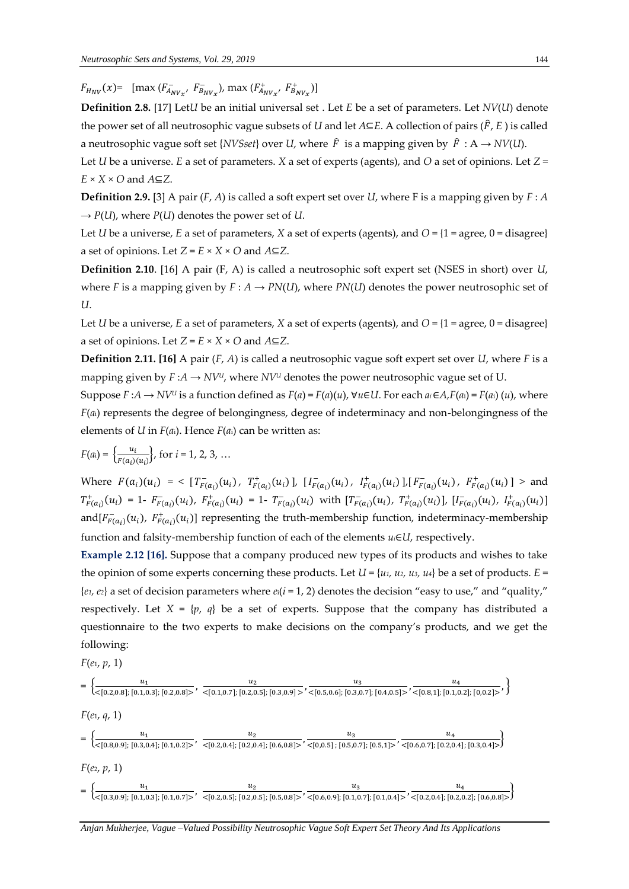$F_{H_{NV}}(x)$  =  $[\max (F_{A_{NV_X}}^-, F_{B_{NV_X}}^-)$ ,  $\max (F_{A_{NV_X}}^+, F_{B_{NV_X}}^+)$ 

**Definition 2.8.** [17] Let*U* be an initial universal set . Let *E* be a set of parameters. Let *NV*(*U*) denote the power set of all neutrosophic vague subsets of *U* and let  $A \subseteq E$ . A collection of pairs ( $\hat{F}$ ,  $E$ ) is called a neutrosophic vague soft set {*NVSset*} over *U*, where  $\hat{F}$  is a mapping given by  $\hat{F}$  : A  $\rightarrow$  *NV*(*U*).

Let *U* be a universe. *E* a set of parameters. *X* a set of experts (agents), and *O* a set of opinions. Let *Z* = *E* × *X* × *O* and *A*⊆*Z*.

**Definition 2.9.** [3] A pair (*F*, *A*) is called a soft expert set over *U*, where F is a mapping given by *F* : *A*  $\rightarrow$  *P*(*U*), where *P*(*U*) denotes the power set of *U*.

Let *U* be a universe, *E* a set of parameters, *X* a set of experts (agents), and *O* = {1 = agree, 0 = disagree} a set of opinions. Let  $Z = E \times X \times O$  and  $A \subseteq Z$ .

**Definition 2.10**. [16] A pair (F, A) is called a neutrosophic soft expert set (NSES in short) over *U*, where *F* is a mapping given by  $F : A \to PN(U)$ , where  $PN(U)$  denotes the power neutrosophic set of *U*.

Let *U* be a universe, *E* a set of parameters, *X* a set of experts (agents), and *O* = {1 = agree, 0 = disagree} a set of opinions. Let  $Z = E \times X \times O$  and  $A \subseteq Z$ .

**Definition 2.11. [16]** A pair (*F*, *A*) is called a neutrosophic vague soft expert set over *U*, where *F* is a mapping given by  $F: A \to NV^U$ , where  $NV^U$  denotes the power neutrosophic vague set of U.

Suppose  $F: A \to NV^U$  is a function defined as  $F(a) = F(a)(u)$ ,  $\forall u \in U$ . For each  $a_i \in A$ ,  $F(a_i) = F(a_i)(u)$ , where *F*(*a*i) represents the degree of belongingness, degree of indeterminacy and non-belongingness of the elements of *U* in  $F(a_i)$ . Hence  $F(a_i)$  can be written as:

$$
F(a_i) = \left\{ \frac{u_i}{F(a_i)(u_i)} \right\}, \text{ for } i = 1, 2, 3, ...
$$

Where  $F(a_i)(u_i) = \langle [T^-_{F(a_i)}(u_i), T^+_{F(a_i)}(u_i)], [T^-_{F(a_i)}(u_i), T^+_{F(a_i)}(u_i)] [F^-_{F(a_i)}(u_i), F^+_{F(a_i)}(u_i)] \rangle$  and  $T^+_{F(a_i)}(u_i) = 1 - F^-_{F(a_i)}(u_i), F^+_{F(a_i)}(u_i) = 1 - T^-_{F(a_i)}(u_i)$  with  $[T^-_{F(a_i)}(u_i), T^+_{F(a_i)}(u_i)], [I^-_{F(a_i)}(u_i), I^+_{F(a_i)}(u_i)]$ and  $[F_{F(a_i)}(u_i), F_{F(a_i)}^+(u_i)]$  representing the truth-membership function, indeterminacy-membership function and falsity-membership function of each of the elements *ui*∈*U*, respectively.

**Example 2.12 [16].** Suppose that a company produced new types of its products and wishes to take the opinion of some experts concerning these products. Let  $U = \{u_1, u_2, u_3, u_4\}$  be a set of products.  $E =$  ${e_1, e_2}$  a set of decision parameters where  $e_i(i = 1, 2)$  denotes the decision "easy to use," and "quality," respectively. Let  $X = \{p, q\}$  be a set of experts. Suppose that the company has distributed a questionnaire to the two experts to make decisions on the company's products, and we get the following:

$$
F(e_1, p, 1)
$$

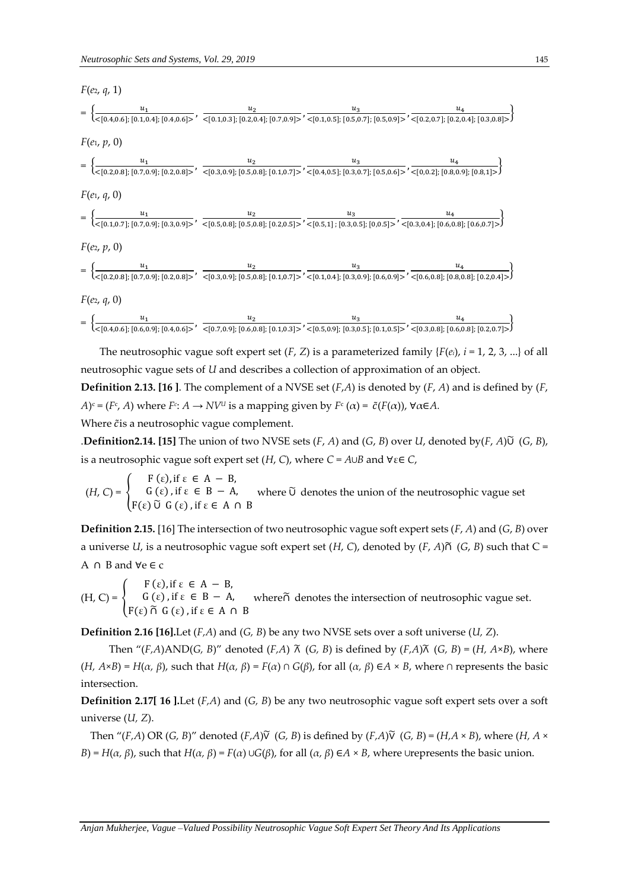

The neutrosophic vague soft expert set  $(F, Z)$  is a parameterized family  $\{F(e_i), i = 1, 2, 3, ...\}$  of all neutrosophic vague sets of *U* and describes a collection of approximation of an object. **Definition 2.13. [16 ]**. The complement of a NVSE set (*F*,*A*) is denoted by (*F*, *A*) and is defined by (*F*,

*A*)<sup>c</sup> = (*F*<sup>c</sup>, *A*) where *F*<sup>*c*</sup>: *A* → *NV<sup><i>u*</sup> is a mapping given by *F*<sup>c</sup> (*α*) = *č*(*F*(*α*)), ∀*α*∈*A*.

Where  $\tilde{c}$  is a neutrosophic vague complement.

.**Definition2.14. [15]** The union of two NVSE sets (*F*, *A*) and (*G*, *B*) over *U*, denoted by(*F*, *A*)∪̃ (*G*, *B*), is a neutrosophic vague soft expert set  $(H, C)$ , where  $C = A \cup B$  and  $\forall \varepsilon \in C$ ,

 $(H, C) = \{$  $F(\varepsilon)$ , if  $\varepsilon \in A - B$ ,  $G(\varepsilon)$ , if  $\varepsilon \in B - A$ , F(ε) ∪̃ G (ε) , if ε ∈ A ∩ B where Ũ denotes the union of the neutrosophic vague set

**Definition 2.15.** [16] The intersection of two neutrosophic vague soft expert sets (*F*, *A*) and (*G*, *B*) over a universe *U*, is a neutrosophic vague soft expert set  $(H, C)$ , denoted by  $(F, A)$  $\tilde{\cap}$   $(G, B)$  such that  $C =$ A ∩ B and ∀e ∈ c

 $(H, C) = \{$  $F(\varepsilon)$ , if  $\varepsilon \in A - B$ ,  $G(\varepsilon)$ , if  $\varepsilon \in B - A$ , F(ε) ∩̃ G (ε) , if ε ∈ A ∩ B where∩̃ denotes the intersection of neutrosophic vague set.

**Definition 2.16 [16].**Let (*F,A*) and (*G, B*) be any two NVSE sets over a soft universe (*U, Z*).

Then " $(F,A)$ AND(*G, B*)" denoted  $(F,A)$   $\tilde{\wedge}$   $(G, B)$  is defined by  $(F,A)\tilde{\wedge}$   $(G, B) = (H, A \times B)$ , where (*H, A*×*B*) = *H*(*α, β*), such that *H*(*α, β*) = *F*(*α*) ∩ *G*(*β*), for all (*α, β*) ∈*A* × *B*, where ∩ represents the basic intersection.

**Definition 2.17[ 16 ].**Let (*F,A*) and (*G, B*) be any two neutrosophic vague soft expert sets over a soft universe (*U, Z*).

Then "(*F,A*) OR (*G, B*)" denoted (*F,A*) $\tilde{V}$  (*G, B*) is defined by (*F,A*) $\tilde{V}$  (*G, B*) = (*H,A* × *B*), where (*H,A* × *B*) = *H*(*α, β*), such that *H*(*α, β*) = *F*(*α*) ∪*G*(*β*), for all (*α, β*) ∈*A* × *B*, where ∪represents the basic union.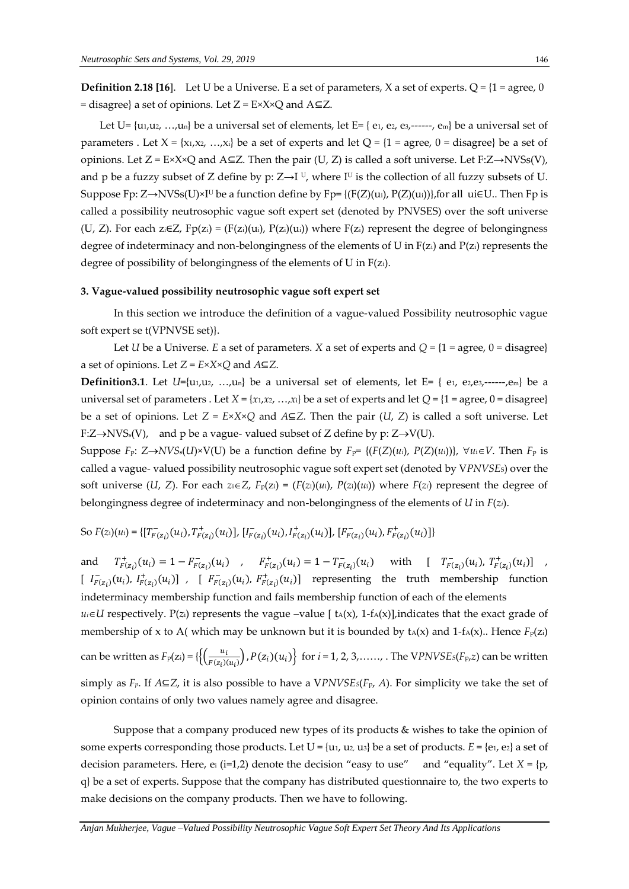**Definition 2.18** [16]. Let U be a Universe. E a set of parameters, X a set of experts. Q =  $\{1 = \text{agree}, 0\}$ = disagree} a set of opinions. Let  $Z = E \times X \times Q$  and  $A \subseteq Z$ .

Let U=  $\{u_1, u_2, ..., u_n\}$  be a universal set of elements, let E=  $\{e_1, e_2, e_3, \ldots, e_m\}$  be a universal set of parameters . Let  $X = \{x_1, x_2, ..., x_i\}$  be a set of experts and let  $Q = \{1 = \text{agree}, 0 = \text{disagree}\}\$  be a set of opinions. Let  $Z = E \times X \times Q$  and  $A ⊆ Z$ . Then the pair (U, Z) is called a soft universe. Let F: $Z \rightarrow NVSS(V)$ , and p be a fuzzy subset of Z define by p:  $Z \rightarrow I^U$ , where I<sup>U</sup> is the collection of all fuzzy subsets of U. Suppose Fp:  $Z \rightarrow NVSs(U) \times I^U$  be a function define by Fp= {(F(Z)(ui), P(Z)(ui))}, for all ui∈U.. Then Fp is called a possibility neutrosophic vague soft expert set (denoted by PNVSES) over the soft universe (U, Z). For each  $z_i \in Z$ ,  $Fp(z_i) = (F(z_i)(u_i), P(z_i)(u_i))$  where  $F(z_i)$  represent the degree of belongingness degree of indeterminacy and non-belongingness of the elements of U in  $F(z_i)$  and  $P(z_i)$  represents the degree of possibility of belongingness of the elements of U in F(zi).

#### **3. Vague-valued possibility neutrosophic vague soft expert set**

 In this section we introduce the definition of a vague-valued Possibility neutrosophic vague soft expert se t(VPNVSE set)}.

Let *U* be a Universe. *E* a set of parameters. *X* a set of experts and  $Q = \{1 = \text{agree}, 0 = \text{disagree}\}\$ a set of opinions. Let  $Z = E \times X \times Q$  and  $A \subseteq Z$ .

**Definition3.1**. Let  $U=[u_1,u_2, \ldots, u_n]$  be a universal set of elements, let E= { e<sub>1</sub>, e<sub>2</sub>, e<sub>3</sub>,------,e<sub>m</sub>} be a universal set of parameters . Let  $X = \{x_1, x_2, ..., x_i\}$  be a set of experts and let  $Q = \{1 = \text{agree}, 0 = \text{disagree}\}\$ be a set of opinions. Let  $Z = E \times X \times Q$  and  $A \subseteq Z$ . Then the pair (*U*, *Z*) is called a soft universe. Let F: $Z \rightarrow NVS_s(V)$ , and p be a vague- valued subset of Z define by p:  $Z \rightarrow V(U)$ .

Suppose  $F_p$ :  $Z \rightarrow NVS_s(U) \times V(U)$  be a function define by  $F_p = \{(F(Z)(u_i), P(Z)(u_i))\}, \forall u_i \in V$ . Then  $F_p$  is called a vague- valued possibility neutrosophic vague soft expert set (denoted by V*PNVSE*S) over the soft universe (*U*, *Z*). For each  $z_i \in Z$ ,  $F_p(z_i) = (F(z_i)(u_i), P(z_i)(u_i))$  where  $F(z_i)$  represent the degree of belongingness degree of indeterminacy and non-belongingness of the elements of *U* in *F*(*zi*).

So 
$$
F(z_i)(u_i) = \{ [T^-_{F(z_i)}(u_i), T^+_{F(z_i)}(u_i)], [I^-_{F(z_i)}(u_i), I^+_{F(z_i)}(u_i)], [F^-_{F(z_i)}(u_i), F^+_{F(z_i)}(u_i)] \}
$$

and  $T^+_{F(z_i)}(u_i) = 1 - F^-_{F(z_i)}(u_i)$ ,  $F^+_{F(z_i)}(u_i) = 1 - T^-_{F(z_i)}(u_i)$  with  $[T^-_{F(z_i)}(u_i), T^+_{F(z_i)}(u_i)]$ ,  $[I_{F(z_i)}(u_i), I_{F(z_i)}^+(u_i)]$ ,  $[I_{F(z_i)}(u_i), F_{F(z_i)}^+(u_i)]$  representing the truth membership function indeterminacy membership function and fails membership function of each of the elements  $u_i \in U$  respectively. P(*z*<sub>i</sub>) represents the vague –value [ t<sub>A</sub>(x), 1-f<sub>A</sub>(x)], indicates that the exact grade of membership of x to A( which may be unknown but it is bounded by  $t_A(x)$  and  $1-f_A(x)$ .. Hence  $F_p(z_i)$ can be written as  $F_p(z_i) = \left\{ \frac{u_i}{F(z_i)} \right\}$  $\left\{\frac{u_i}{F(z_i)(u_i)}\right\}$ ,  $P(z_i)(u_i)\right\}$  for  $i = 1, 2, 3, \ldots$ , The VPNVSE<sub>*S*</sub>( $F_{p,z}$ ) can be written simply as  $F_p$ . If  $A \subseteq Z$ , it is also possible to have a VPNVSEs( $F_p$ , A). For simplicity we take the set of opinion contains of only two values namely agree and disagree.

 Suppose that a company produced new types of its products & wishes to take the opinion of some experts corresponding those products. Let  $U = \{u_1, u_2, u_3\}$  be a set of products.  $E = \{e_1, e_2\}$  a set of decision parameters. Here, ei (i=1,2) denote the decision "easy to use" and "equality". Let  $X = \{p,$ q} be a set of experts. Suppose that the company has distributed questionnaire to, the two experts to make decisions on the company products. Then we have to following.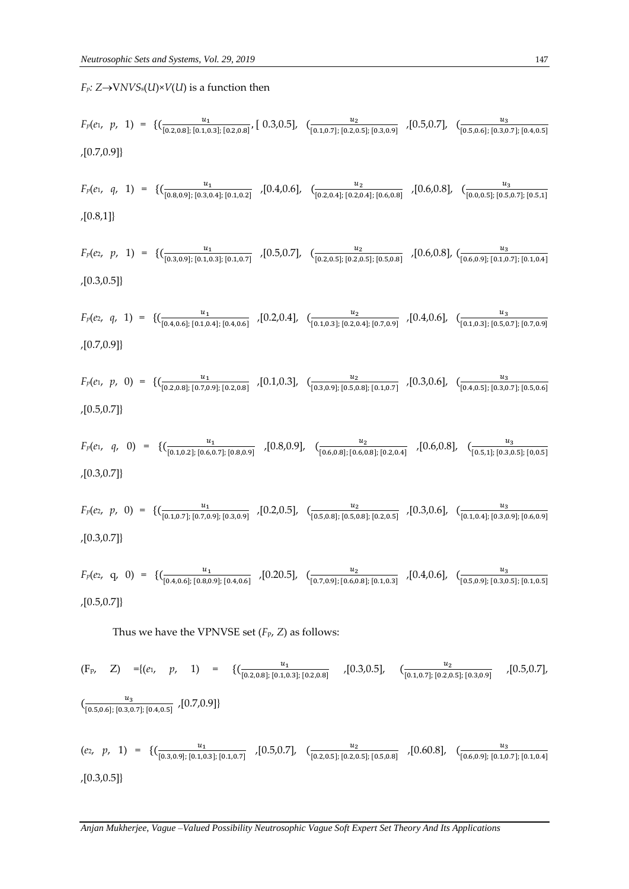$F_p: Z \rightarrow VNVS_s(U) \times V(U)$  is a function then

$$
F_p(e_1, p, 1) = \{ (\frac{u_1}{[0.2, 0.8]; [0.1, 0.3]; [0.2, 0.8]}, [0.3, 0.5], (\frac{u_2}{[0.1, 0.7]; [0.2, 0.5]; [0.3, 0.9]}, [0.5, 0.7], (\frac{u_3}{[0.5, 0.6]; [0.3, 0.7]; [0.4, 0.5]}, (0.7, 0.9]) \}
$$

$$
F_p(e_1, q, 1) = \{(\frac{u_1}{[0.8, 0.9]; [0.3, 0.4]; [0.1, 0.2]}, 0.4, 0.6], (\frac{u_2}{[0.2, 0.4]; [0.2, 0.4]; [0.6, 0.8]}, 0.6, 0.8], (\frac{u_3}{[0.0, 0.5]; [0.5, 0.7]; [0.5, 1]}, 0.6, 0.8])\}
$$

$$
F_p(e_2, p, 1) = \{ (\frac{u_1}{[0.3, 0.9]; [0.1, 0.3]; [0.1, 0.7]}, \left[0.5, 0.7\right], \left[0.2, 0.5\right]; [0.2, 0.5]; [0.5, 0.8]}, \left[0.6, 0.8\right], \left[0.6, 0.9\right]; [0.1, 0.7]; [0.1, 0.4]}
$$
\n
$$
,[0.3, 0.5]\}
$$

$$
F_p(e_2, q, 1) = \{(\frac{u_1}{[0.4, 0.6]; [0.1, 0.4]; [0.4, 0.6]}, [0.2, 0.4], (\frac{u_2}{[0.1, 0.3]; [0.2, 0.4]; [0.7, 0.9]}, [0.4, 0.6], (\frac{u_3}{[0.1, 0.3]; [0.5, 0.7]; [0.7, 0.9]})\}
$$

$$
F_p(e_1, p, 0) = \{(\frac{u_1}{[0.2, 0.8]; [0.7, 0.9]; [0.2, 0.8]} \,, [0.1, 0.3], \left(\frac{u_2}{[0.3, 0.9]; [0.5, 0.8]; [0.1, 0.7]} \right), [0.3, 0.6], \left(\frac{u_3}{[0.4, 0.5]; [0.3, 0.7]; [0.5, 0.6]} \right), [0.5, 0.7]\}
$$

$$
F_p(e_1, q, 0) = \{(\frac{u_1}{[0.1, 0.2]; [0.6, 0.7]; [0.8, 0.9]}, [0.8, 0.9], (\frac{u_2}{[0.6, 0.8]; [0.6, 0.8]; [0.2, 0.4]}, [0.6, 0.8], (\frac{u_3}{[0.5, 1]; [0.3, 0.5]; [0, 0.5]})\}
$$

$$
F_p(e_2, p, 0) = \{(\frac{u_1}{[0.1, 0.7]; [0.7, 0.9]; [0.3, 0.9]}, [0.2, 0.5], (\frac{u_2}{[0.5, 0.8]; [0.5, 0.8]; [0.2, 0.5]}, [0.3, 0.6], (\frac{u_3}{[0.1, 0.4]; [0.3, 0.9]; [0.6, 0.9]}, [0.3, 0.7]\})
$$

$$
F_p(e_2, q, 0) = \{(\frac{u_1}{[0.4, 0.6]; [0.8, 0.9]; [0.4, 0.6]} \right) \times [0.20.5], \left[\frac{u_2}{[0.7, 0.9]; [0.6, 0.8]; [0.1, 0.3]} \right) \times [0.4, 0.6], \left[\frac{u_3}{[0.5, 0.9]; [0.3, 0.5]; [0.1, 0.5]} \right]
$$

Thus we have the VPNVSE set (*F*p, *Z*) as follows:

$$
\begin{array}{llll}\n(F_P, \quad Z) &= \{ (e_1, \quad p, \quad 1) = \{ (\underbrace{(u_1, \dots, u_1, \dots, u_n)}_{[0.2, 0.8]; [0.1, 0.3]; [0.2, 0.8]} \quad , [0.3, 0.5], \quad (\underbrace{(u_2, \dots, u_2, \dots, u_n)}_{[0.5, 0.6]; [0.3, 0.7]; [0.4, 0.5]}, \quad [0.7, 0.9] \} \\
 & \{ (e_2, \quad p, \quad 1) = \{ (\underbrace{(u_1, \dots, u_1, \dots, u_1)}_{[0.3, 0.9]; [0.1, 0.3]; [0.1, 0.7]} \quad , [0.5, 0.7], \quad (\underbrace{u_2, \dots, u_2}_{[0.2, 0.5]; [0.2, 0.5]; [0.5, 0.8]}, \quad [0.60.8], \quad (\underbrace{u_3, \dots, u_3}_{[0.6, 0.9]; [0.1, 0.7]; [0.1, 0.4]} \n\end{array}\n\right)
$$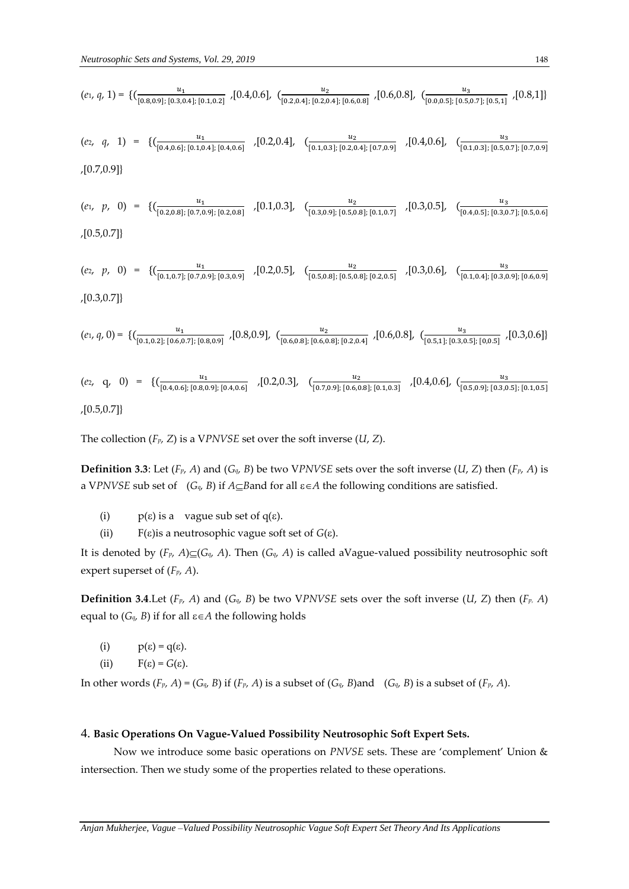$$
(e_1, q, 1) = \{ \left( \frac{u_1}{[0.8, 0.9]; [0.3, 0.4]; [0.1, 0.2]} \right), [0.4, 0.6], \left( \frac{u_2}{[0.2, 0.4]; [0.2, 0.4]; [0.6, 0.8]} \right), [0.6, 0.8], \left( \frac{u_3}{[0.0, 0.5]; [0.5, 0.7]; [0.5, 1]} \right), [0.8, 1] \}
$$
\n
$$
(e_2, q, 1) = \{ \left( \frac{u_1}{[0.4, 0.6]; [0.1, 0.4]; [0.4, 0.6]} \right), [0.2, 0.4], \left( \frac{u_2}{[0.1, 0.3]; [0.2, 0.4]; [0.7, 0.9]} \right), [0.4, 0.6], \left( \frac{u_3}{[0.1, 0.3]; [0.5, 0.7]; [0.7, 0.9]} \right), [0.4, 0.6] \}
$$

$$
,[0.7,0.9]\}
$$

$$
(e_1, p, 0) = \{ (\underbrace{\frac{u_1}{[0.2, 0.8]; [0.7, 0.9]; [0.2, 0.8]}} \cdot [0.1, 0.3], \underbrace{(\frac{u_2}{[0.3, 0.9]; [0.5, 0.8]; [0.1, 0.7]}} \cdot [0.3, 0.5], \underbrace{(\frac{u_3}{[0.4, 0.5]; [0.3, 0.7]; [0.5, 0.6]}} \cdot [0.5, 0.7]) \}
$$

$$
(e_2, p, 0) = \{ (\underbrace{\frac{u_1}{[0.1, 0.7]; [0.7, 0.9]; [0.3, 0.9]}} \cdot [0.2, 0.5], \underbrace{(\frac{u_2}{[0.5, 0.8]; [0.5, 0.8]; [0.2, 0.5]}} \cdot [0.3, 0.6], \underbrace{(\frac{u_3}{[0.1, 0.4]; [0.3, 0.9]; [0.6, 0.9]}}) \cdot [0.3, 0.6]
$$

$$
(e_1, q, 0) = \{ (\underbrace{\frac{u_1}{[0.1, 0.2]; [0.6, 0.7]; [0.8, 0.9]}}, [0.8, 0.9], (\underbrace{\frac{u_2}{[0.6, 0.8]; [0.6, 0.8]}, [0.2, 0.4]}, 0.6, 0.8], (\underbrace{\frac{u_3}{[0.5, 1]; [0.3, 0.5]}, [0.0.5]}, 0.3, 0.6])
$$

$$
(e_2, q, 0) = \{(\frac{u_1}{[0.4, 0.6]; [0.8, 0.9]; [0.4, 0.6]} \,, [0.2, 0.3], (\frac{u_2}{[0.7, 0.9]; [0.6, 0.8]; [0.1, 0.3]}, 0.4, 0.6], (\frac{u_3}{[0.5, 0.9]; [0.3, 0.5]; [0.1, 0.5]})\}
$$

The collection (*Fp, Z*) is a V*PNVSE* set over the soft inverse (*U*, *Z*).

**Definition 3.3**: Let (*Fp, A*) and (*Gq, B*) be two V*PNVSE* sets over the soft inverse (*U*, *Z*) then (*Fp, A*) is a VPNVSE sub set of  $(G_q, B)$  if  $A \subseteq B$ and for all  $\varepsilon \in A$  the following conditions are satisfied.

- (i)  $p(\varepsilon)$  is a vague sub set of q( $\varepsilon$ ).
- (ii)  $F(\varepsilon)$  is a neutrosophic vague soft set of  $G(\varepsilon)$ .

It is denoted by  $(F_p, A) \subseteq (G_q, A)$ . Then  $(G_q, A)$  is called aVague-valued possibility neutrosophic soft expert superset of (*Fp, A*).

**Definition 3.4.** Let  $(F_p, A)$  and  $(G_q, B)$  be two VPNVSE sets over the soft inverse  $(U, Z)$  then  $(F_p, A)$ equal to  $(G_q, B)$  if for all  $\varepsilon \in A$  the following holds

- (i)  $p(\varepsilon) = q(\varepsilon)$ .
- (ii)  $F(\varepsilon) = G(\varepsilon)$ .

In other words  $(F_p, A) = (G_q, B)$  if  $(F_p, A)$  is a subset of  $(G_q, B)$  and  $(G_q, B)$  is a subset of  $(F_p, A)$ .

#### 4. **Basic Operations On Vague-Valued Possibility Neutrosophic Soft Expert Sets.**

 Now we introduce some basic operations on *PNVSE* sets. These are 'complement' Union & intersection. Then we study some of the properties related to these operations.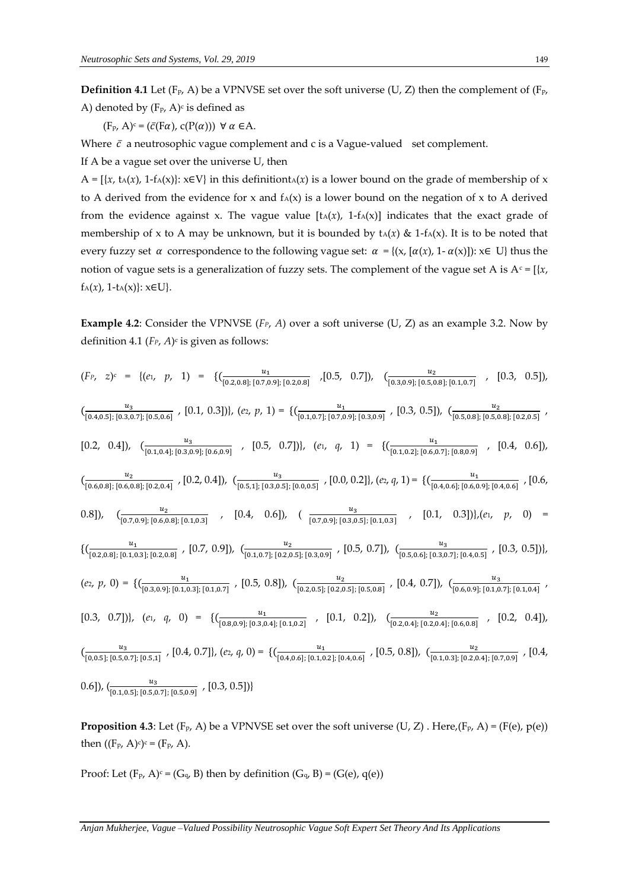**Definition 4.1** Let (F<sub>P</sub>, A) be a VPNVSE set over the soft universe (U, Z) then the complement of (F<sub>P</sub>, A) denoted by (F<sub>p</sub>, A)<sup>c</sup> is defined as

 $(F_P, A)^c = (\bar{c}(F\alpha), c(P(\alpha))) \ \forall \alpha \in A.$ 

Where  $\bar{c}$  a neutrosophic vague complement and c is a Vague-valued set complement.

If A be a vague set over the universe U, then

A =  $\{x, t_A(x), 1-f_A(x)\}\;:\; x \in V\}$  in this definitiont $t_A(x)$  is a lower bound on the grade of membership of x to A derived from the evidence for x and  $f_A(x)$  is a lower bound on the negation of x to A derived from the evidence against x. The vague value  $[t_A(x), 1-f_A(x)]$  indicates that the exact grade of membership of x to A may be unknown, but it is bounded by  $t_A(x) \& 1-f_A(x)$ . It is to be noted that every fuzzy set  $\alpha$  correspondence to the following vague set:  $\alpha = \{(x, [\alpha(x), 1-\alpha(x)]): x \in U\}$  thus the notion of vague sets is a generalization of fuzzy sets. The complement of the vague set A is  $A<sup>c</sup> = [{x,$  $f_A(x)$ , 1-t<sub>A</sub>(x)}:  $x \in U$ }.

**Example 4.2**: Consider the VPNVSE (*FP*, *A*) over a soft universe (U, Z) as an example 3.2. Now by definition 4.1 (*FP*, *A*) c is given as follows:

$$
(F_P, z)^c = \{ (e_1, p, 1) = \{ (\underbrace{\frac{u_1}{(0.2,0.8]; [0.7,0.9]; [0.2,0.8]}} \cdot [0.5, 0.7]), (\underbrace{\frac{u_2}{(0.3,0.9]; [0.5,0.8]; [0.1,0.7]}} \cdot [0.3, 0.5]),
$$
  
\n
$$
(\underbrace{\frac{u_3}{(0.4,0.5]; [0.3,0.7]; [0.5,0.6]}} \cdot [0.1, 0.3]), (e_2, p, 1) = \{ (\underbrace{\frac{u_1}{(0.1,0.7]; [0.7,0.9]; [0.3,0.9]}} \cdot [0.3, 0.5]), (\underbrace{\frac{u_2}{(0.5,0.8]; [0.5,0.8]} [0.2,0.5]}) \cdot [0.4, 0.6]),
$$
  
\n
$$
(\underbrace{\frac{u_2}{(0.4,0.4]; [0.3,0.9]; [0.2,0.4]}} \cdot [0.2, 0.4]), (\underbrace{\frac{u_3}{(0.5,1]; [0.3,0.5]; [0.0,0.5]}} \cdot [0.0, 0.2]), (e_1, q, 1) = \{ (\underbrace{\frac{u_1}{(0.1,0.2]; [0.6,0.7]; [0.8,0.9]}} \cdot [0.4, 0.6]),
$$
  
\n
$$
(\underbrace{\frac{u_2}{(0.6,0.8]; [0.6,0.8]; [0.2,0.4]}} \cdot [0.2, 0.4]), (\underbrace{\frac{u_3}{(0.5,1]; [0.3,0.5]; [0.0,0.5]}} \cdot [0.0, 0.2]), (e_2, q, 1) = \{ (\underbrace{\frac{u_1}{(0.4,0.6]; [0.6,0.9]; [0.4,0.6]}} \cdot [0.6, 0.7], (0.6, 0.8]),
$$
  
\n
$$
(\underbrace{\frac{u_1}{(0.2,0.8]; [0.1,0.3]; [0.2,0.8]}} \cdot [0.7, 0.9]), (\underbrace{\frac{u_2}{(0.1,0.7]; [0.2,0.5]; [0.3,0.9]} \cdot [0.5,
$$

**Proposition 4.3**: Let  $(F_P, A)$  be a VPNVSE set over the soft universe  $(U, Z)$ . Here, $(F_P, A) = (F(e), p(e))$ then  $((F_{P}, A)^{c})^{c} = (F_{P}, A)$ .

Proof: Let  $(F_P, A)^c = (G_q, B)$  then by definition  $(G_q, B) = (G(e), q(e))$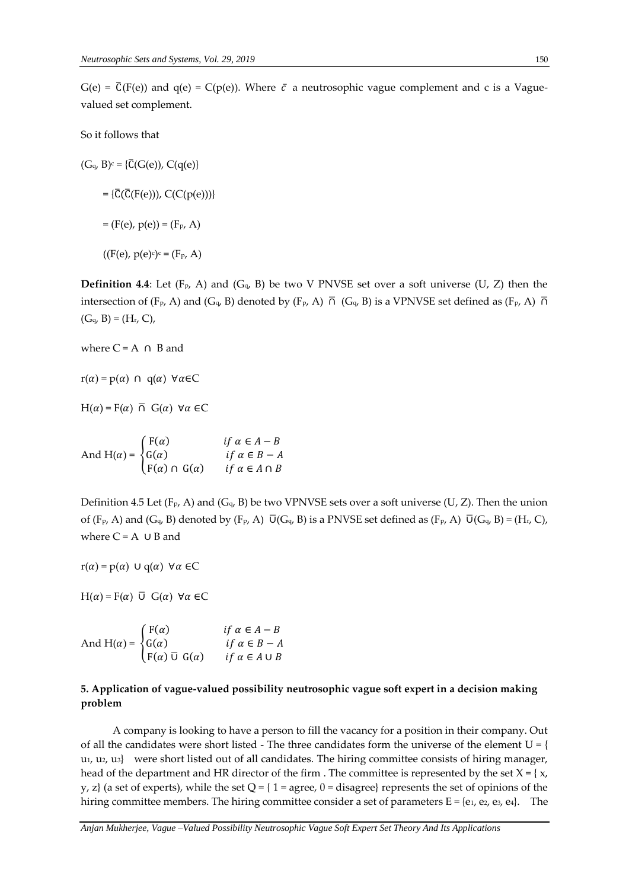$G(e) = \overline{C}(F(e))$  and  $q(e) = C(p(e))$ . Where  $\overline{c}$  a neutrosophic vague complement and c is a Vaguevalued set complement.

So it follows that

 $(G_q, B)^c = {\overline{C}}(G(e)), C(q(e))$  $=\{\overline{C}(\overline{C}(F(e))), C(C(p(e)))\}$  $= (F(e), p(e)) = (F_p, A)$ 

 $((F(e), p(e)^c)^c = (F_p, A))$ 

**Definition 4.4**: Let  $(F_p, A)$  and  $(G_q, B)$  be two V PNVSE set over a soft universe (U, Z) then the intersection of (F<sub>p</sub>, A) and (G<sub>q</sub>, B) denoted by (F<sub>p</sub>, A)  $\overline{\cap}$  (G<sub>q</sub>, B) is a VPNVSE set defined as (F<sub>p</sub>, A)  $\overline{\cap}$  $(G_q, B) = (H_r, C)$ ,

where  $C = A \cap B$  and

 $r(\alpha) = p(\alpha) \cap q(\alpha) \; \forall \alpha \in C$ 

 $H(\alpha) = F(\alpha) \overline{\cap} G(\alpha) \forall \alpha \in C$ 

And H( $\alpha$ ) =  $\{$  $F(\alpha)$   $if \alpha \in A - B$  $G(\alpha)$  if  $\alpha \in B - A$  $F(\alpha) \cap G(\alpha)$  if  $\alpha \in A \cap B$ 

Definition 4.5 Let  $(F_P, A)$  and  $(G_q, B)$  be two VPNVSE sets over a soft universe (U, Z). Then the union of (F<sub>p</sub>, A) and (G<sub>q</sub>, B) denoted by (F<sub>p</sub>, A)  $\overline{U}(G_q, B)$  is a PNVSE set defined as (F<sub>p</sub>, A)  $\overline{U}(G_q, B) = (H_r, C)$ , where  $C = A \cup B$  and

 $r(\alpha) = p(\alpha) \cup q(\alpha) \forall \alpha \in C$ 

 $H(\alpha) = F(\alpha) \ \overline{\cup} \ G(\alpha) \ \forall \alpha \in C$ 

And H( $\alpha$ ) =  $\{$  $F(\alpha)$   $if \alpha \in A - B$  $G(\alpha)$  if  $\alpha \in B - A$  $F(\alpha) \overline{U} G(\alpha)$   $if \alpha \in A \cup B$ 

# **5. Application of vague-valued possibility neutrosophic vague soft expert in a decision making problem**

 A company is looking to have a person to fill the vacancy for a position in their company. Out of all the candidates were short listed - The three candidates form the universe of the element  $U = \{$  $u_1, u_2, u_3$  were short listed out of all candidates. The hiring committee consists of hiring manager, head of the department and HR director of the firm . The committee is represented by the set  $X = \{x,$ y, z} (a set of experts), while the set  $Q = \{ 1 = \text{agree}, 0 = \text{disagree} \}$  represents the set of opinions of the hiring committee members. The hiring committee consider a set of parameters  $E = \{e_1, e_2, e_3, e_4\}$ . The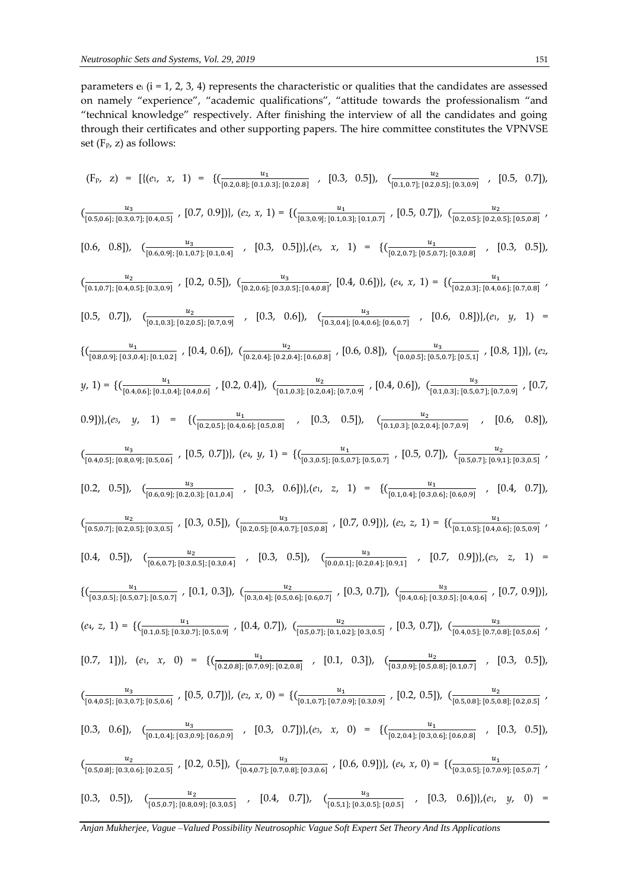parameters  $e_i$  ( $i = 1, 2, 3, 4$ ) represents the characteristic or qualities that the candidates are assessed on namely "experience", "academic qualifications", "attitude towards the professionalism "and "technical knowledge" respectively. After finishing the interview of all the candidates and going through their certificates and other supporting papers. The hire committee constitutes the VPNVSE set (Fp, z) as follows:

$$
(F_{p, z}) = [[(e_{i}, x_{i})] = {\frac{u_{z}}{\sqrt{0.5,0.6}|[0.5,0.5]} \cdot [0.3, 0.5]), \frac{u_{z}}{\sqrt{0.5,0.6}|[0.2,0.6]} \cdot [0.5, 0.7]),
$$
  

$$
\frac{u_{z}}{\sqrt{0.5,0.6}|[0.5,0.7]} \cdot [0.5, 0.7]) \cdot (e_{z}, x_{i}) = {\frac{u_{z}}{\sqrt{0.5,0.8}|[0.5,0.8]} \cdot [0.5, 0.7]) \cdot \frac{u_{z}}{\sqrt{0.5,0.6}|[0.5,0.8]} \cdot [0.5, 0.5])}
$$
  

$$
[0.6, 0.8]) \cdot \frac{u_{z}}{\sqrt{0.6,0.9}|[0.5,0.7]} \cdot [0.2, 0.5]) \cdot \frac{u_{z}}{\sqrt{0.2,0.6}|[0.5,0.8]} \cdot [0.4, 0.6]) \cdot (e_{z}, x_{i}) = {\frac{u_{z}}{\sqrt{0.2,0.7}|[0.5,0.7]} \cdot [0.5, 0.5])}
$$
  

$$
[0.6, 0.8]) \cdot \frac{u_{z}}{\sqrt{0.6,0.9}|[0.5,0.7]} \cdot [0.2, 0.5]) \cdot \frac{u_{z}}{\sqrt{0.2,0.6}|[0.2,0.8]} \cdot [0.4, 0.6]) \cdot (e_{z}, x_{i}) = {\frac{u_{z}}{\sqrt{0.2,0.7}|[0.5,0.7]} \cdot [0.5, 0.5])}
$$
  

$$
[0.5, 0.7]) \cdot \frac{u_{z}}{\sqrt{0.1,0.3}|[0.2,0.8]} \cdot [0.4, 0.6]) \cdot \frac{u_{z}}{\sqrt{0.2,0.6}|[0.2,0.8]} \cdot [0.4, 0.6]) \cdot \frac{u_{z}}{\sqrt{0.2,0.8}|[0.5,0.7]} \cdot [0.5, 0.8]) \cdot (e_{z}, x_{i}) = {\frac{u_{z}}{\sqrt{0.5,0.8}|[0.5,0.8]} \cdot [0.5, 0.7]} \cdot [0.5, 0.8]) \cdot (e_{z}, x_{j
$$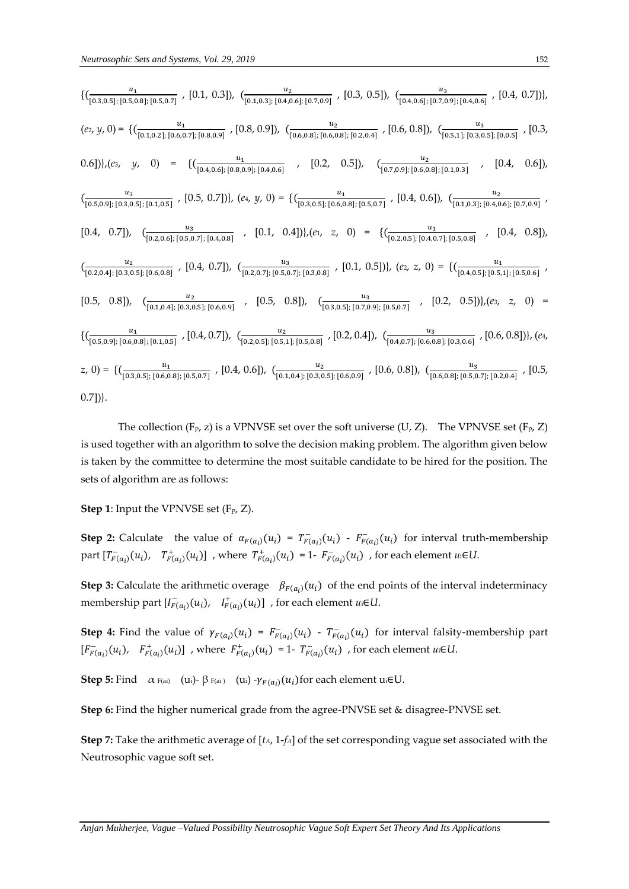$$
\begin{aligned}\n\{ &\begin{bmatrix} \frac{u_1}{[0.3,0.5]; [0.5,0.8]; [0.5,0.7]} \end{bmatrix}, [0.1, 0.3]), \ \frac{u_2}{[0.1,0.3]; [0.4,0.6]; [0.7,0.9]} \end{bmatrix}, [0.3, 0.5]), \ \frac{u_1}{[0.4,0.6]; [0.7,0.9]; [0.4,0.6]} \end{bmatrix}, [0.4, 0.7]), \\
(e_2, y, 0) &= \{ &\begin{bmatrix} \frac{u_1}{[0.1,0.2]; [0.6,0.7]; [0.8,0.9]} \end{bmatrix}, [0.8, 0.9]), \ \frac{u_2}{[0.6,0.8]; [0.6,0.8]; [0.2,0.4]} \end{bmatrix}, [0.6, 0.8]), \ \frac{u_3}{[0.5,1]; [0.3,0.5]; [0.0.5]} \end{bmatrix}, [0.3, 0.6]), \\
(e_3, y, 0) &= \{ &\begin{bmatrix} \frac{u_1}{[0.4,0.6]; [0.8,0.9]; [0.4,0.6]} \end{bmatrix}, [0.2, 0.5]), \ \frac{u_2}{[0.7,0.9]; [0.6,0.8]; [0.4,0.3]} \end{bmatrix}, [0.4, 0.6]), \\
(e_4, y, 0) &= \{ &\begin{bmatrix} \frac{u_1}{[0.3,0.5]; [0.6,0.8]; [0.5,0.7]} \end{bmatrix}, [0.4, 0.6]), \ \frac{u_2}{[0.1,0.3]; [0.4,0.6]} \end{bmatrix}, [0.4, 0.6]), \\
(e_5, 0.9; [0.3,0.5]; [0.4,0.8]} \end{bmatrix}, [0.5, 0.7]), \ \frac{u_3}{[0.2,0.6]; [0.5,0.7]; [0.5,0.7]} \end{aligned}, [0.1, 0.4]), \\
(e_7, 0.9; [0.6,0.8]; [0.4,0.8]), \ \frac{u_2}{[0.2,0.5]; [0.4,0.8]} \end{aligned}, [0.4, 0.7]), \ \frac{u_3}{[0.
$$

The collection (F<sub>P</sub>, z) is a VPNVSE set over the soft universe (U, Z). The VPNVSE set (F<sub>P</sub>, Z) is used together with an algorithm to solve the decision making problem. The algorithm given below is taken by the committee to determine the most suitable candidate to be hired for the position. The sets of algorithm are as follows:

**Step 1**: Input the VPNVSE set (F<sub>p</sub>, Z).

**Step 2:** Calculate the value of  $\alpha_{F(a_i)}(u_i) = T_{F(a_i)}^-(u_i) - F_{F(a_i)}^-(u_i)$  for interval truth-membership  $\text{part}\left[T_{F(a_i)}^-(u_i), T_{F(a_i)}^+(u_i)\right]$  , where  $T_{F(a_i)}^+(u_i) = 1 - F_{F(a_i)}^-(u_i)$  , for each element  $u \in U$ .

**Step 3:** Calculate the arithmetic overage  $\beta_{F(a_i)}(u_i)$  of the end points of the interval indeterminacy membership part  $[I_{F(a_i)}^-(u_i), I_{F(a_i)}^+(u_i)]$ , for each element  $u_i \in U$ .

**Step 4:** Find the value of  $\gamma_{F(a_i)}(u_i) = F_{F(a_i)}(u_i) - T_{F(a_i)}(u_i)$  for interval falsity-membership part  $[F_{F(a_i)}^-(u_i), F_{F(a_i)}^+(u_i)]$ , where  $F_{F(a_i)}^+(u_i) = 1 - T_{F(a_i)}^-(u_i)$ , for each element  $u \in U$ .

**Step 5:** Find  $\alpha$  F(ai) (ui)- $\beta$  F(ai) (ui) - $\gamma_{F(a_i)}(u_i)$  for each element ui $\in$ U.

**Step 6:** Find the higher numerical grade from the agree-PNVSE set & disagree-PNVSE set.

**Step 7:** Take the arithmetic average of [*tA*, 1-*fA*] of the set corresponding vague set associated with the Neutrosophic vague soft set.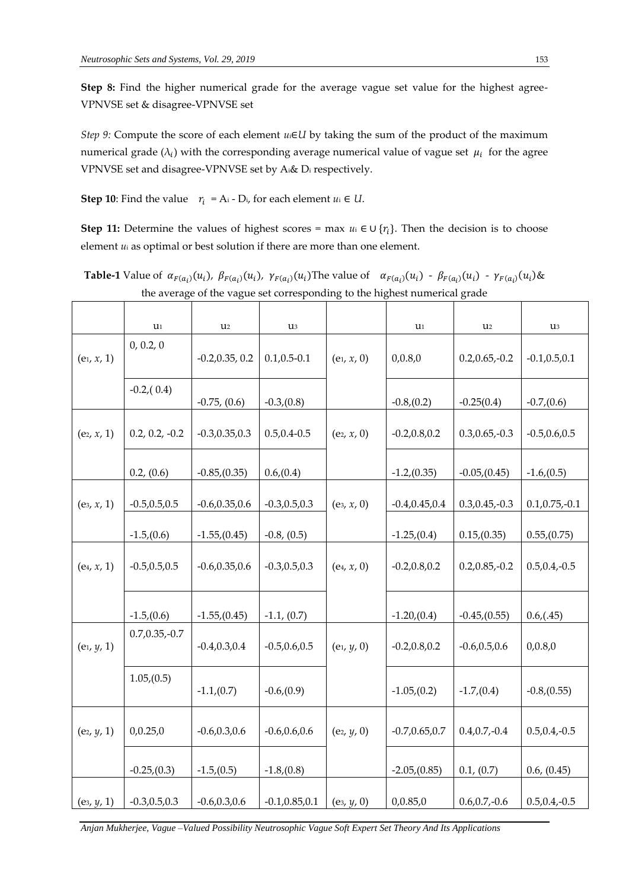**Step 8:** Find the higher numerical grade for the average vague set value for the highest agree-VPNVSE set & disagree-VPNVSE set

*Step 9:* Compute the score of each element *u*<sub>i</sub>∈*U* by taking the sum of the product of the maximum numerical grade ( $\lambda_i$ ) with the corresponding average numerical value of vague set  $\mu_i$  for the agree VPNVSE set and disagree-VPNVSE set by Ai& D<sup>i</sup> respectively.

**Step 10**: Find the value  $r_i = A_i - D_i$ , for each element  $u_i \in U$ .

**Step 11:** Determine the values of highest scores = max  $u_i \in U\{r_i\}$ . Then the decision is to choose element *u*<sup>i</sup> as optimal or best solution if there are more than one element.

**Table-1** Value of  $\alpha_{F(a_i)}(u_i)$ ,  $\beta_{F(a_i)}(u_i)$ ,  $\gamma_{F(a_i)}(u_i)$ The value of  $\alpha_{F(a_i)}(u_i) - \beta_{F(a_i)}(u_i) - \gamma_{F(a_i)}(u_i)$ & the average of the vague set corresponding to the highest numerical grade

|               | $u_1$             | U2                | u3                |               | $\mathbf{u}_1$    | $\mathbf{u}_2$    | U3                |
|---------------|-------------------|-------------------|-------------------|---------------|-------------------|-------------------|-------------------|
| $(e_1, x, 1)$ | 0, 0.2, 0         | $-0.2, 0.35, 0.2$ | $0.1, 0.5 - 0.1$  | $(e_1, x, 0)$ | 0,0.8,0           | $0.2, 0.65, -0.2$ | $-0.1, 0.5, 0.1$  |
|               | $-0.2(0.4)$       | $-0.75$ , $(0.6)$ | $-0.3(0.8)$       |               | $-0.8(0.2)$       | $-0.25(0.4)$      | $-0.7(0.6)$       |
| $(e_2, x, 1)$ | $0.2, 0.2, -0.2$  | $-0.3, 0.35, 0.3$ | $0.5, 0.4 - 0.5$  | $(e_2, x, 0)$ | $-0.2, 0.8, 0.2$  | $0.3, 0.65, -0.3$ | $-0.5, 0.6, 0.5$  |
|               | 0.2, (0.6)        | $-0.85(0.35)$     | 0.6(0.4)          |               | $-1.2(0.35)$      | $-0.05(0.45)$     | $-1.6(0.5)$       |
| $(e_3, x, 1)$ | $-0.5, 0.5, 0.5$  | $-0.6, 0.35, 0.6$ | $-0.3, 0.5, 0.3$  | $(e_3, x, 0)$ | $-0.4, 0.45, 0.4$ | $0.3, 0.45, -0.3$ | $0.1, 0.75, -0.1$ |
|               | $-1.5(0.6)$       | $-1.55(0.45)$     | $-0.8$ , $(0.5)$  |               | $-1.25(0.4)$      | 0.15(0.35)        | 0.55(0.75)        |
| $(e_4, x, 1)$ | $-0.5, 0.5, 0.5$  | $-0.6, 0.35, 0.6$ | $-0.3, 0.5, 0.3$  | $(e_4, x, 0)$ | $-0.2, 0.8, 0.2$  | $0.2, 0.85, -0.2$ | $0.5, 0.4, -0.5$  |
|               | $-1.5(0.6)$       | $-1.55(0.45)$     | $-1.1, (0.7)$     |               | $-1.20(0.4)$      | $-0.45(0.55)$     | 0.6(0.45)         |
| $(e_1, y, 1)$ | $0.7, 0.35, -0.7$ | $-0.4, 0.3, 0.4$  | $-0.5, 0.6, 0.5$  | $(e_1, y, 0)$ | $-0.2, 0.8, 0.2$  | $-0.6, 0.5, 0.6$  | 0,0.8,0           |
|               | 1.05(0.5)         | $-1.1(0.7)$       | $-0.6(0.9)$       |               | $-1.05(0.2)$      | $-1.7(0.4)$       | $-0.8(0.55)$      |
| $(e_2, y, 1)$ | 0,0.25,0          | $-0.6, 0.3, 0.6$  | $-0.6, 0.6, 0.6$  | $(e_2, y, 0)$ | $-0.7, 0.65, 0.7$ | $0.4, 0.7, -0.4$  | $0.5, 0.4, -0.5$  |
|               | $-0.25(0.3)$      | $-1.5(0.5)$       | $-1.8(0.8)$       |               | $-2.05(0.85)$     | 0.1, (0.7)        | 0.6, (0.45)       |
| $(e_3, y, 1)$ | $-0.3, 0.5, 0.3$  | $-0.6, 0.3, 0.6$  | $-0.1, 0.85, 0.1$ | $(e_3, y, 0)$ | 0,0.85,0          | $0.6, 0.7, -0.6$  | $0.5, 0.4, -0.5$  |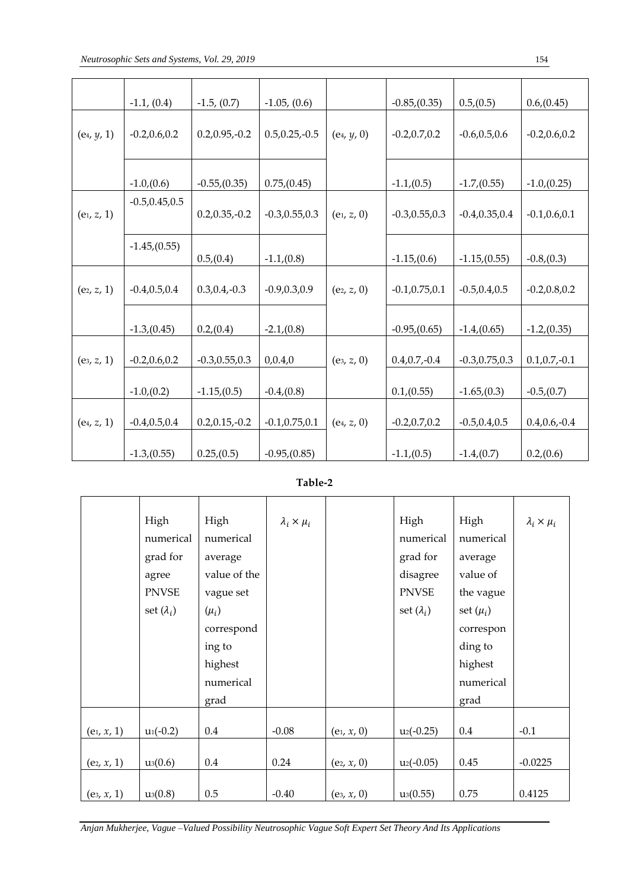|               | $-1.1, (0.4)$     | $-1.5, (0.7)$     | $-1.05$ , $(0.6)$ |               | $-0.85(0.35)$     | 0.5(0.5)          | 0.6(0.45)        |
|---------------|-------------------|-------------------|-------------------|---------------|-------------------|-------------------|------------------|
| $(e_4, y, 1)$ | $-0.2, 0.6, 0.2$  | $0.2, 0.95, -0.2$ | $0.5, 0.25, -0.5$ | $(e_4, y, 0)$ | $-0.2, 0.7, 0.2$  | $-0.6, 0.5, 0.6$  | $-0.2, 0.6, 0.2$ |
|               | $-1.0(0.6)$       | $-0.55(0.35)$     | 0.75(0.45)        |               | $-1.1(0.5)$       | $-1.7(0.55)$      | $-1.0(0.25)$     |
| $(e_1, z, 1)$ | $-0.5, 0.45, 0.5$ | $0.2, 0.35, -0.2$ | $-0.3, 0.55, 0.3$ | $(e_1, z, 0)$ | $-0.3, 0.55, 0.3$ | $-0.4, 0.35, 0.4$ | $-0.1, 0.6, 0.1$ |
|               | $-1.45(0.55)$     | 0.5(0.4)          | $-1.1(0.8)$       |               | $-1.15(0.6)$      | $-1.15(0.55)$     | $-0.8(0.3)$      |
| $(e_2, z, 1)$ | $-0.4, 0.5, 0.4$  | $0.3, 0.4, -0.3$  | $-0.9, 0.3, 0.9$  | $(e_2, z, 0)$ | $-0.1, 0.75, 0.1$ | $-0.5, 0.4, 0.5$  | $-0.2, 0.8, 0.2$ |
|               | $-1.3(0.45)$      | 0.2(0.4)          | $-2.1(0.8)$       |               | $-0.95(0.65)$     | $-1.4(0.65)$      | $-1.2(0.35)$     |
| $(e_3, z, 1)$ | $-0.2, 0.6, 0.2$  | $-0.3, 0.55, 0.3$ | 0,0.4,0           | $(e_3, z, 0)$ | $0.4, 0.7, -0.4$  | $-0.3, 0.75, 0.3$ | $0.1, 0.7, -0.1$ |
|               | $-1.0(0.2)$       | $-1.15(0.5)$      | $-0.4(0.8)$       |               | 0.1(0.55)         | $-1.65(0.3)$      | $-0.5(0.7)$      |
| $(e_4, z, 1)$ | $-0.4, 0.5, 0.4$  | $0.2, 0.15, -0.2$ | $-0.1, 0.75, 0.1$ | $(e_4, z, 0)$ | $-0.2, 0.7, 0.2$  | $-0.5, 0.4, 0.5$  | $0.4, 0.6, -0.4$ |
|               | $-1.3(0.55)$      | 0.25(0.5)         | $-0.95(0.85)$     |               | $-1.1(0.5)$       | $-1.4(0.7)$       | 0.2(0.6)         |

**Table-2**

|               | High              | High         | $\lambda_i \times \mu_i$ |               | High              | High          | $\lambda_i \times \mu_i$ |
|---------------|-------------------|--------------|--------------------------|---------------|-------------------|---------------|--------------------------|
|               | numerical         | numerical    |                          |               | numerical         | numerical     |                          |
|               | grad for          | average      |                          |               | grad for          | average       |                          |
|               | agree             | value of the |                          |               | disagree          | value of      |                          |
|               | <b>PNVSE</b>      | vague set    |                          |               | <b>PNVSE</b>      | the vague     |                          |
|               | set $(\lambda_i)$ | $(\mu_i)$    |                          |               | set $(\lambda_i)$ | set $(\mu_i)$ |                          |
|               |                   | correspond   |                          |               |                   | correspon     |                          |
|               |                   | ing to       |                          |               |                   | ding to       |                          |
|               |                   | highest      |                          |               |                   | highest       |                          |
|               |                   | numerical    |                          |               |                   | numerical     |                          |
|               |                   | grad         |                          |               |                   | grad          |                          |
|               |                   |              |                          |               |                   |               |                          |
| $(e_1, x, 1)$ | $u_1(-0.2)$       | $0.4\,$      | $-0.08$                  | $(e_1, x, 0)$ | $u_2(-0.25)$      | 0.4           | $-0.1$                   |
|               |                   |              |                          |               |                   |               |                          |
| $(e_2, x, 1)$ | $u_3(0.6)$        | $0.4\,$      | 0.24                     | $(e_2, x, 0)$ | $u_2(-0.05)$      | 0.45          | $-0.0225$                |
|               |                   |              |                          |               |                   |               |                          |
| $(e_3, x, 1)$ | $u_3(0.8)$        | 0.5          | $-0.40$                  | $(e_3, x, 0)$ | $u_3(0.55)$       | 0.75          | 0.4125                   |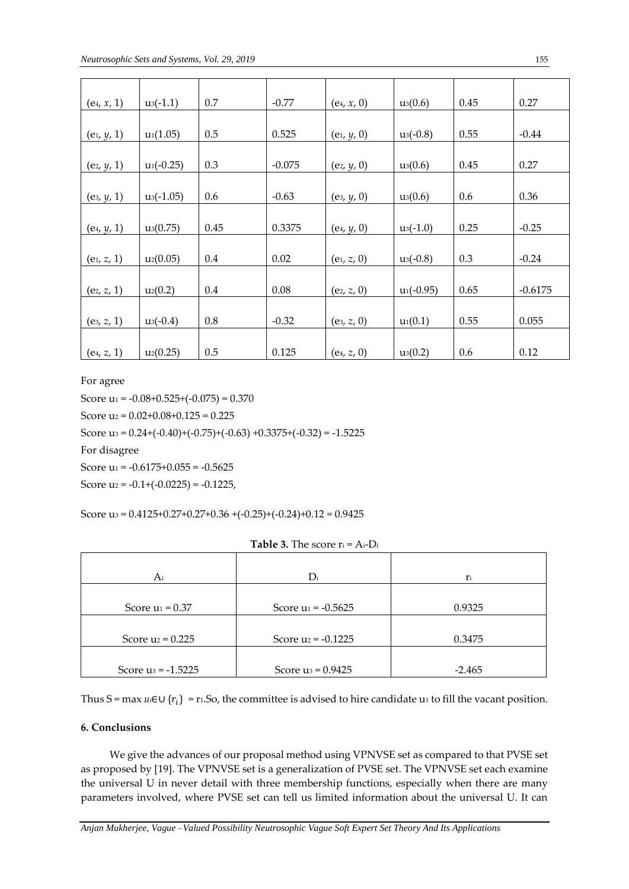| $(e_4, x, 1)$ | $u_3(-1.1)$  | 0.7  | $-0.77$  | $(e_4, x, 0)$ | $u_3(0.6)$   | 0.45 | 0.27      |
|---------------|--------------|------|----------|---------------|--------------|------|-----------|
|               |              |      |          |               |              |      |           |
| $(e_1, y, 1)$ | $u_1(1.05)$  | 0.5  | 0.525    | $(e_1, y, 0)$ | $u_3(-0.8)$  | 0.55 | $-0.44$   |
|               |              |      |          |               |              |      |           |
| $(e_2, y, 1)$ | $u_1(-0.25)$ | 0.3  | $-0.075$ | $(e_2, y, 0)$ | $u_3(0.6)$   | 0.45 | 0.27      |
|               |              |      |          |               |              |      |           |
| $(e_3, y, 1)$ | $u_3(-1.05)$ | 0.6  | $-0.63$  | $(e_3, y, 0)$ | $u_3(0.6)$   | 0.6  | 0.36      |
|               |              |      |          |               |              |      |           |
| $(e_4, y, 1)$ | $u_3(0.75)$  | 0.45 | 0.3375   | $(e_4, y, 0)$ | $u_3(-1.0)$  | 0.25 | $-0.25$   |
|               |              |      |          |               |              |      |           |
| $(e_1, z, 1)$ | $u_2(0.05)$  | 0.4  | 0.02     | $(e_1, z, 0)$ | $u_3(-0.8)$  | 0.3  | $-0.24$   |
|               |              |      |          |               |              |      |           |
| $(e_2, z, 1)$ | $u_2(0.2)$   | 0.4  | 0.08     | $(e_2, z, 0)$ | $u_1(-0.95)$ | 0.65 | $-0.6175$ |
|               |              |      |          |               |              |      |           |
| $(e_3, z, 1)$ | $u_3(-0.4)$  | 0.8  | $-0.32$  | $(e_3, z, 0)$ | $u_1(0.1)$   | 0.55 | 0.055     |
|               |              |      |          |               |              |      |           |
| $(e_4, z, 1)$ | $u_2(0.25)$  | 0.5  | 0.125    | $(e_4, z, 0)$ | $u_3(0.2)$   | 0.6  | 0.12      |

For agree

Score  $u_1 = -0.08 + 0.525 + (-0.075) = 0.370$ 

Score  $u_2$  = 0.02+0.08+0.125 = 0.225

Score u<sub>3</sub> =  $0.24 + (-0.40) + (-0.75) + (-0.63) +0.3375 + (-0.32) = -1.5225$ 

For disagree

Score  $u_1 = -0.6175 + 0.055 = -0.5625$ 

Score  $u_2 = -0.1 + (-0.0225) = -0.1225$ ,

Score u<sub>3</sub> =  $0.4125+0.27+0.27+0.36+(-0.25)+(-0.24)+0.12=0.9425$ 

| Ai                    | $D_i$                 | ľi       |  |  |
|-----------------------|-----------------------|----------|--|--|
| Score $u_1 = 0.37$    | Score $u_1 = -0.5625$ | 0.9325   |  |  |
| Score $u_2 = 0.225$   | Score $u_2 = -0.1225$ | 0.3475   |  |  |
| Score $u_3 = -1.5225$ | Score $u_3 = 0.9425$  | $-2.465$ |  |  |

#### **Table 3.** The score r<sup>i</sup> = Ai-D<sup>i</sup>

Thus S = max *u*i∈∪ { } = r1.So, the committee is advised to hire candidate u<sup>1</sup> to fill the vacant position.

# **6. Conclusions**

 We give the advances of our proposal method using VPNVSE set as compared to that PVSE set as proposed by [19]. The VPNVSE set is a generalization of PVSE set. The VPNVSE set each examine the universal U in never detail with three membership functions, especially when there are many parameters involved, where PVSE set can tell us limited information about the universal U. It can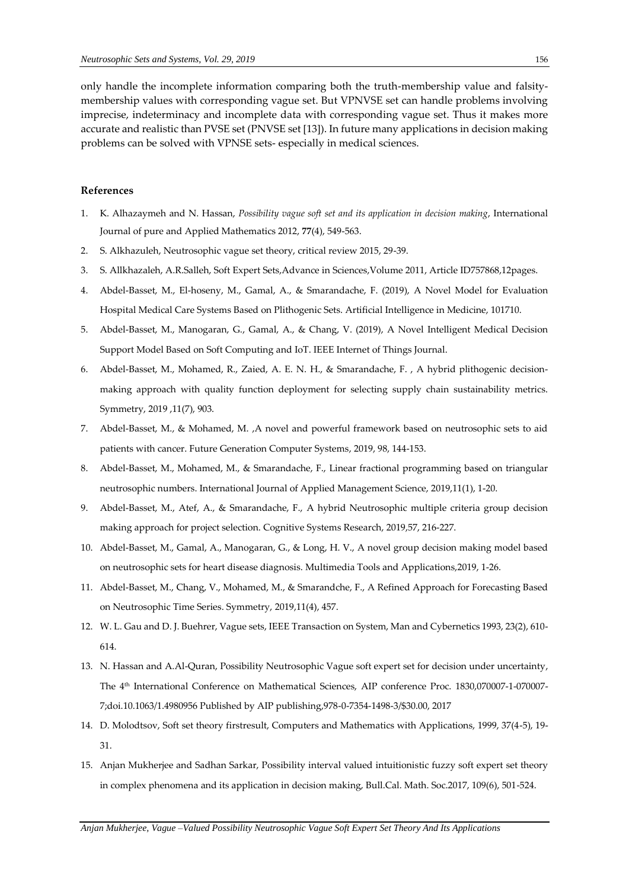only handle the incomplete information comparing both the truth-membership value and falsitymembership values with corresponding vague set. But VPNVSE set can handle problems involving imprecise, indeterminacy and incomplete data with corresponding vague set. Thus it makes more accurate and realistic than PVSE set (PNVSE set [13]). In future many applications in decision making problems can be solved with VPNSE sets- especially in medical sciences.

# **References**

- 1. K. Alhazaymeh and N. Hassan, *Possibility vague soft set and its application in decision making*, International Journal of pure and Applied Mathematics 2012, **77**(4), 549-563.
- 2. S. Alkhazuleh, Neutrosophic vague set theory, critical review 2015, 29-39.
- 3. S. Allkhazaleh, A.R.Salleh, Soft Expert Sets,Advance in Sciences,Volume 2011, Article ID757868,12pages.
- 4. Abdel-Basset, M., El-hoseny, M., Gamal, A., & Smarandache, F. (2019), A Novel Model for Evaluation Hospital Medical Care Systems Based on Plithogenic Sets. Artificial Intelligence in Medicine, 101710.
- 5. Abdel-Basset, M., Manogaran, G., Gamal, A., & Chang, V. (2019), A Novel Intelligent Medical Decision Support Model Based on Soft Computing and IoT. IEEE Internet of Things Journal.
- 6. Abdel-Basset, M., Mohamed, R., Zaied, A. E. N. H., & Smarandache, F. , A hybrid plithogenic decisionmaking approach with quality function deployment for selecting supply chain sustainability metrics. Symmetry, 2019 ,11(7), 903.
- 7. Abdel-Basset, M., & Mohamed, M. ,A novel and powerful framework based on neutrosophic sets to aid patients with cancer. Future Generation Computer Systems, 2019, 98, 144-153.
- 8. Abdel-Basset, M., Mohamed, M., & Smarandache, F., Linear fractional programming based on triangular neutrosophic numbers. International Journal of Applied Management Science, 2019,11(1), 1-20.
- 9. Abdel-Basset, M., Atef, A., & Smarandache, F., A hybrid Neutrosophic multiple criteria group decision making approach for project selection. Cognitive Systems Research, 2019,57, 216-227.
- 10. Abdel-Basset, M., Gamal, A., Manogaran, G., & Long, H. V., A novel group decision making model based on neutrosophic sets for heart disease diagnosis. Multimedia Tools and Applications,2019, 1-26.
- 11. Abdel-Basset, M., Chang, V., Mohamed, M., & Smarandche, F., A Refined Approach for Forecasting Based on Neutrosophic Time Series. Symmetry, 2019,11(4), 457.
- 12. W. L. Gau and D. J. Buehrer, Vague sets, IEEE Transaction on System, Man and Cybernetics 1993, 23(2), 610- 614.
- 13. N. Hassan and A.Al-Quran, Possibility Neutrosophic Vague soft expert set for decision under uncertainty, The 4th International Conference on Mathematical Sciences, AIP conference Proc. 1830,070007-1-070007- 7;doi.10.1063/1.4980956 Published by AIP publishing,978-0-7354-1498-3/\$30.00, 2017
- 14. D. Molodtsov, Soft set theory firstresult, Computers and Mathematics with Applications, 1999, 37(4-5), 19- 31.
- 15. Anjan Mukherjee and Sadhan Sarkar, Possibility interval valued intuitionistic fuzzy soft expert set theory in complex phenomena and its application in decision making, Bull.Cal. Math. Soc.2017, 109(6), 501-524.